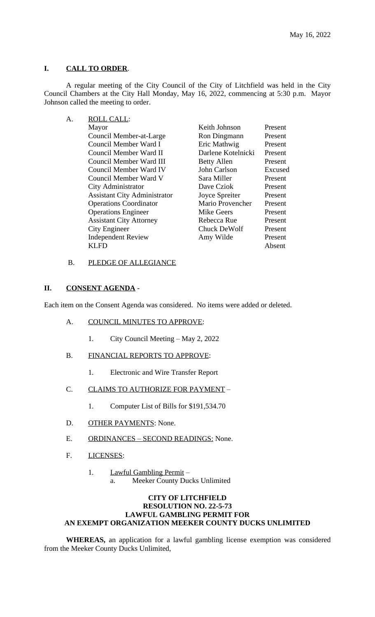## **I. CALL TO ORDER**.

A regular meeting of the City Council of the City of Litchfield was held in the City Council Chambers at the City Hall Monday, May 16, 2022, commencing at 5:30 p.m. Mayor Johnson called the meeting to order.

- A. ROLL CALL: Mayor Keith Johnson Present Council Member-at-Large Ron Dingmann Present<br>
Council Member Ward I Eric Mathwig Present Council Member Ward I Eric Mathwig Present Council Member Ward II Darlene Kotelnicki Present Council Member Ward III Betty Allen Present<br>Council Member Ward IV John Carlson Excused Council Member Ward IV John Carlson Excused<br>
Council Member Ward V Sara Miller Present Council Member Ward V Sara Miller City Administrator Dave Cziok Present Assistant City Administrator Joyce Spreiter Present Operations Coordinator Mario Provencher Present Operations Engineer Mike Geers Present<br>
Assistant City Attorney Rebecca Rue Present Assistant City Attorney Rebecca Rue City Engineer Chuck DeWolf Present Independent Review Amy Wilde Present KLFD Absent
	-
- B. PLEDGE OF ALLEGIANCE

# **II. CONSENT AGENDA** -

Each item on the Consent Agenda was considered. No items were added or deleted.

- A. COUNCIL MINUTES TO APPROVE:
	- 1. City Council Meeting May 2, 2022
- B. FINANCIAL REPORTS TO APPROVE:
	- 1. Electronic and Wire Transfer Report
- C. CLAIMS TO AUTHORIZE FOR PAYMENT
	- 1. Computer List of Bills for \$191,534.70
- D. OTHER PAYMENTS: None.
- E. ORDINANCES SECOND READINGS: None.
- F. LICENSES:
	- 1. Lawful Gambling Permit a. Meeker County Ducks Unlimited

## **CITY OF LITCHFIELD RESOLUTION NO. 22-5-73 LAWFUL GAMBLING PERMIT FOR AN EXEMPT ORGANIZATION MEEKER COUNTY DUCKS UNLIMITED**

**WHEREAS,** an application for a lawful gambling license exemption was considered from the Meeker County Ducks Unlimited,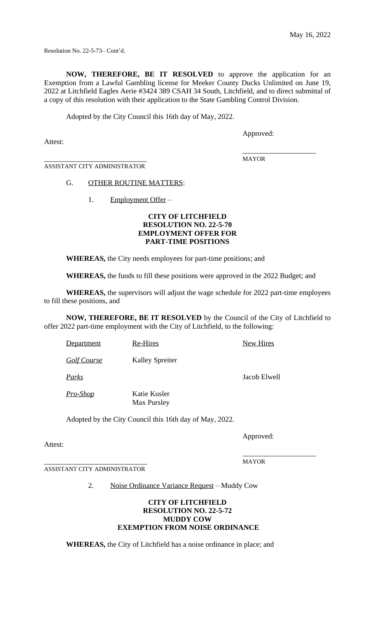Resolution No. 22-5-73– Cont'd.

**NOW, THEREFORE, BE IT RESOLVED** to approve the application for an Exemption from a Lawful Gambling license for Meeker County Ducks Unlimited on June 19, 2022 at Litchfield Eagles Aerie #3424 389 CSAH 34 South, Litchfield, and to direct submittal of a copy of this resolution with their application to the State Gambling Control Division.

Adopted by the City Council this 16th day of May, 2022.

Approved:

\_\_\_\_\_\_\_\_\_\_\_\_\_\_\_\_\_\_\_\_

Attest:

\_\_\_\_\_\_\_\_\_\_\_\_\_\_\_\_\_\_\_\_\_\_\_\_\_\_\_\_ MAYOR

ASSISTANT CITY ADMINISTRATOR

#### G. OTHER ROUTINE MATTERS:

1. Employment Offer –

## **CITY OF LITCHFIELD RESOLUTION NO. 22-5-70 EMPLOYMENT OFFER FOR PART-TIME POSITIONS**

**WHEREAS,** the City needs employees for part-time positions; and

**WHEREAS,** the funds to fill these positions were approved in the 2022 Budget; and

**WHEREAS,** the supervisors will adjust the wage schedule for 2022 part-time employees to fill these positions, and

**NOW, THEREFORE, BE IT RESOLVED** by the Council of the City of Litchfield to offer 2022 part-time employment with the City of Litchfield, to the following:

| Department         | Re-Hires                    | New Hires    |
|--------------------|-----------------------------|--------------|
| <b>Golf Course</b> | <b>Kalley Spreiter</b>      |              |
| Parks              |                             | Jacob Elwell |
| Pro-Shop           | Katie Kusler<br>Max Pursley |              |

Adopted by the City Council this 16th day of May, 2022.

Approved:

Attest:

\_\_\_\_\_\_\_\_\_\_\_\_\_\_\_\_\_\_\_\_ \_\_\_\_\_\_\_\_\_\_\_\_\_\_\_\_\_\_\_\_\_\_\_\_\_\_\_\_ MAYOR

ASSISTANT CITY ADMINISTRATOR

2. Noise Ordinance Variance Request – Muddy Cow

#### **CITY OF LITCHFIELD RESOLUTION NO. 22-5-72 MUDDY COW EXEMPTION FROM NOISE ORDINANCE**

**WHEREAS,** the City of Litchfield has a noise ordinance in place; and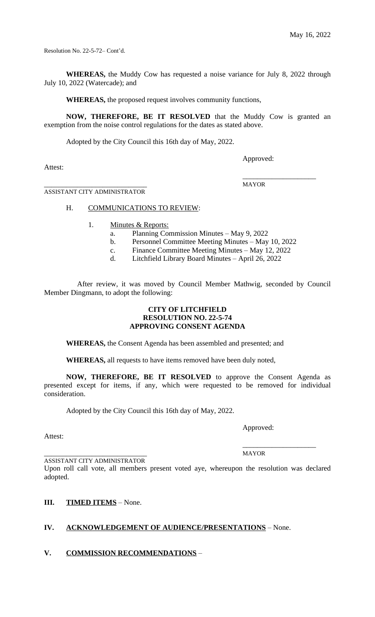Resolution No. 22-5-72– Cont'd.

**WHEREAS,** the Muddy Cow has requested a noise variance for July 8, 2022 through July 10, 2022 (Watercade); and

**WHEREAS,** the proposed request involves community functions,

**NOW, THEREFORE, BE IT RESOLVED** that the Muddy Cow is granted an exemption from the noise control regulations for the dates as stated above.

Adopted by the City Council this 16th day of May, 2022.

Approved:

\_\_\_\_\_\_\_\_\_\_\_\_\_\_\_\_\_\_\_\_

Attest:

\_\_\_\_\_\_\_\_\_\_\_\_\_\_\_\_\_\_\_\_\_\_\_\_\_\_\_\_ MAYOR

ASSISTANT CITY ADMINISTRATOR

#### H. COMMUNICATIONS TO REVIEW:

- 1. Minutes & Reports:
	- a. Planning Commission Minutes May 9, 2022
	- b. Personnel Committee Meeting Minutes May 10, 2022
	- c. Finance Committee Meeting Minutes May 12, 2022
	- d. Litchfield Library Board Minutes April 26, 2022

After review, it was moved by Council Member Mathwig, seconded by Council Member Dingmann, to adopt the following:

#### **CITY OF LITCHFIELD RESOLUTION NO. 22-5-74 APPROVING CONSENT AGENDA**

**WHEREAS,** the Consent Agenda has been assembled and presented; and

**WHEREAS,** all requests to have items removed have been duly noted,

**NOW, THEREFORE, BE IT RESOLVED** to approve the Consent Agenda as presented except for items, if any, which were requested to be removed for individual consideration.

Adopted by the City Council this 16th day of May, 2022.

Approved:

Attest:

ASSISTANT CITY ADMINISTRATOR

Upon roll call vote, all members present voted aye, whereupon the resolution was declared adopted.

### **III. TIMED ITEMS** – None.

#### **IV. ACKNOWLEDGEMENT OF AUDIENCE/PRESENTATIONS** – None.

#### **V. COMMISSION RECOMMENDATIONS** –

\_\_\_\_\_\_\_\_\_\_\_\_\_\_\_\_\_\_\_\_ \_\_\_\_\_\_\_\_\_\_\_\_\_\_\_\_\_\_\_\_\_\_\_\_\_\_\_\_ MAYOR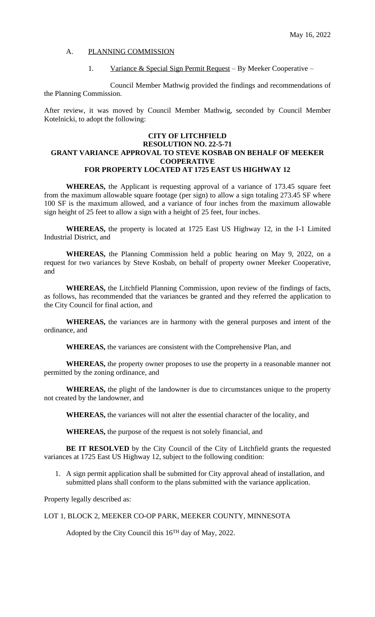#### A. PLANNING COMMISSION

1. Variance & Special Sign Permit Request – By Meeker Cooperative –

Council Member Mathwig provided the findings and recommendations of the Planning Commission.

After review, it was moved by Council Member Mathwig, seconded by Council Member Kotelnicki, to adopt the following:

#### **CITY OF LITCHFIELD RESOLUTION NO. 22-5-71 GRANT VARIANCE APPROVAL TO STEVE KOSBAB ON BEHALF OF MEEKER COOPERATIVE FOR PROPERTY LOCATED AT 1725 EAST US HIGHWAY 12**

**WHEREAS,** the Applicant is requesting approval of a variance of 173.45 square feet from the maximum allowable square footage (per sign) to allow a sign totaling 273.45 SF where 100 SF is the maximum allowed, and a variance of four inches from the maximum allowable sign height of 25 feet to allow a sign with a height of 25 feet, four inches.

**WHEREAS,** the property is located at 1725 East US Highway 12, in the I-1 Limited Industrial District, and

**WHEREAS,** the Planning Commission held a public hearing on May 9, 2022, on a request for two variances by Steve Kosbab, on behalf of property owner Meeker Cooperative, and

**WHEREAS,** the Litchfield Planning Commission, upon review of the findings of facts, as follows, has recommended that the variances be granted and they referred the application to the City Council for final action, and

**WHEREAS,** the variances are in harmony with the general purposes and intent of the ordinance, and

**WHEREAS,** the variances are consistent with the Comprehensive Plan, and

**WHEREAS,** the property owner proposes to use the property in a reasonable manner not permitted by the zoning ordinance, and

**WHEREAS,** the plight of the landowner is due to circumstances unique to the property not created by the landowner, and

**WHEREAS,** the variances will not alter the essential character of the locality, and

**WHEREAS,** the purpose of the request is not solely financial, and

**BE IT RESOLVED** by the City Council of the City of Litchfield grants the requested variances at 1725 East US Highway 12, subject to the following condition:

1. A sign permit application shall be submitted for City approval ahead of installation, and submitted plans shall conform to the plans submitted with the variance application.

Property legally described as:

LOT 1, BLOCK 2, MEEKER CO-OP PARK, MEEKER COUNTY, MINNESOTA

Adopted by the City Council this 16TH day of May, 2022.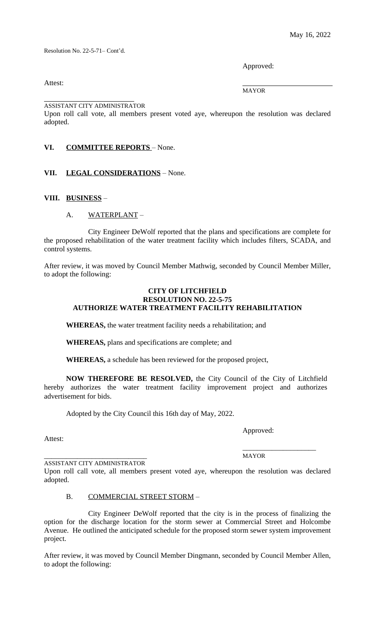Resolution No. 22-5-71– Cont'd.

Approved:

Attest:

MAYOR

 $\overline{a}$ ASSISTANT CITY ADMINISTRATOR

Upon roll call vote, all members present voted aye, whereupon the resolution was declared adopted.

#### **VI. COMMITTEE REPORTS** – None.

## **VII. LEGAL CONSIDERATIONS** – None.

## **VIII. BUSINESS** –

A. WATERPLANT –

City Engineer DeWolf reported that the plans and specifications are complete for the proposed rehabilitation of the water treatment facility which includes filters, SCADA, and control systems.

After review, it was moved by Council Member Mathwig, seconded by Council Member Miller, to adopt the following:

#### **CITY OF LITCHFIELD RESOLUTION NO. 22-5-75 AUTHORIZE WATER TREATMENT FACILITY REHABILITATION**

**WHEREAS,** the water treatment facility needs a rehabilitation; and

**WHEREAS,** plans and specifications are complete; and

**WHEREAS,** a schedule has been reviewed for the proposed project,

**NOW THEREFORE BE RESOLVED,** the City Council of the City of Litchfield hereby authorizes the water treatment facility improvement project and authorizes advertisement for bids.

Adopted by the City Council this 16th day of May, 2022.

Approved:

\_\_\_\_\_\_\_\_\_\_\_\_\_\_\_\_\_\_\_\_

Attest:

\_\_\_\_\_\_\_\_\_\_\_\_\_\_\_\_\_\_\_\_\_\_\_\_\_\_\_\_ MAYOR ASSISTANT CITY ADMINISTRATOR

Upon roll call vote, all members present voted aye, whereupon the resolution was declared adopted.

#### B. COMMERCIAL STREET STORM –

City Engineer DeWolf reported that the city is in the process of finalizing the option for the discharge location for the storm sewer at Commercial Street and Holcombe Avenue. He outlined the anticipated schedule for the proposed storm sewer system improvement project.

After review, it was moved by Council Member Dingmann, seconded by Council Member Allen, to adopt the following: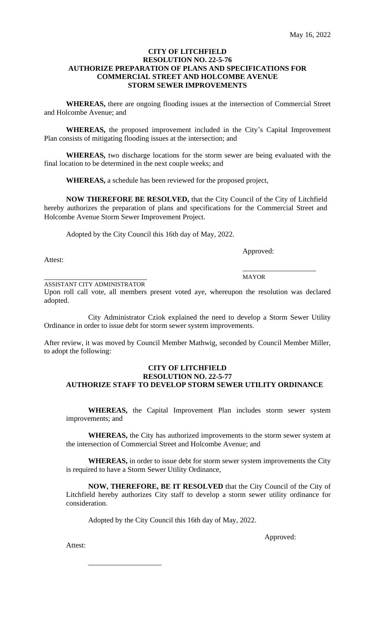#### **CITY OF LITCHFIELD RESOLUTION NO. 22-5-76 AUTHORIZE PREPARATION OF PLANS AND SPECIFICATIONS FOR COMMERCIAL STREET AND HOLCOMBE AVENUE STORM SEWER IMPROVEMENTS**

**WHEREAS,** there are ongoing flooding issues at the intersection of Commercial Street and Holcombe Avenue; and

**WHEREAS,** the proposed improvement included in the City's Capital Improvement Plan consists of mitigating flooding issues at the intersection; and

**WHEREAS,** two discharge locations for the storm sewer are being evaluated with the final location to be determined in the next couple weeks; and

**WHEREAS,** a schedule has been reviewed for the proposed project,

**NOW THEREFORE BE RESOLVED,** that the City Council of the City of Litchfield hereby authorizes the preparation of plans and specifications for the Commercial Street and Holcombe Avenue Storm Sewer Improvement Project.

Adopted by the City Council this 16th day of May, 2022.

Approved:

\_\_\_\_\_\_\_\_\_\_\_\_\_\_\_\_\_\_\_\_

Attest:

\_\_\_\_\_\_\_\_\_\_\_\_\_\_\_\_\_\_\_\_\_\_\_\_\_\_\_\_ MAYOR

ASSISTANT CITY ADMINISTRATOR

Upon roll call vote, all members present voted aye, whereupon the resolution was declared adopted.

City Administrator Cziok explained the need to develop a Storm Sewer Utility Ordinance in order to issue debt for storm sewer system improvements.

After review, it was moved by Council Member Mathwig, seconded by Council Member Miller, to adopt the following:

### **CITY OF LITCHFIELD RESOLUTION NO. 22-5-77 AUTHORIZE STAFF TO DEVELOP STORM SEWER UTILITY ORDINANCE**

**WHEREAS,** the Capital Improvement Plan includes storm sewer system improvements; and

**WHEREAS,** the City has authorized improvements to the storm sewer system at the intersection of Commercial Street and Holcombe Avenue; and

**WHEREAS,** in order to issue debt for storm sewer system improvements the City is required to have a Storm Sewer Utility Ordinance,

**NOW, THEREFORE, BE IT RESOLVED** that the City Council of the City of Litchfield hereby authorizes City staff to develop a storm sewer utility ordinance for consideration.

Adopted by the City Council this 16th day of May, 2022.

Approved:

Attest:

\_\_\_\_\_\_\_\_\_\_\_\_\_\_\_\_\_\_\_\_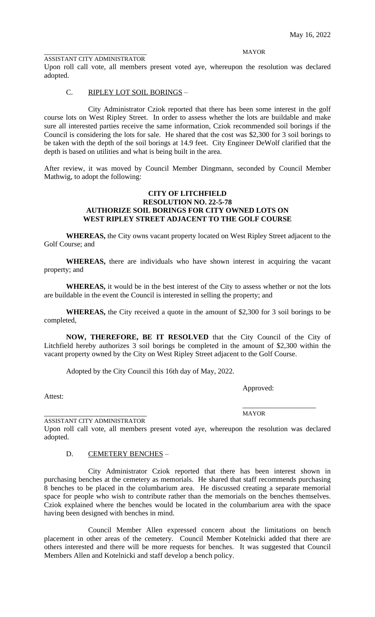\_\_\_\_\_\_\_\_\_\_\_\_\_\_\_\_\_\_\_\_\_\_\_\_\_\_\_\_ MAYOR ASSISTANT CITY ADMINISTRATOR

Upon roll call vote, all members present voted aye, whereupon the resolution was declared adopted.

#### C. RIPLEY LOT SOIL BORINGS –

City Administrator Cziok reported that there has been some interest in the golf course lots on West Ripley Street. In order to assess whether the lots are buildable and make sure all interested parties receive the same information, Cziok recommended soil borings if the Council is considering the lots for sale. He shared that the cost was \$2,300 for 3 soil borings to be taken with the depth of the soil borings at 14.9 feet. City Engineer DeWolf clarified that the depth is based on utilities and what is being built in the area.

After review, it was moved by Council Member Dingmann, seconded by Council Member Mathwig, to adopt the following:

#### **CITY OF LITCHFIELD RESOLUTION NO. 22-5-78 AUTHORIZE SOIL BORINGS FOR CITY OWNED LOTS ON WEST RIPLEY STREET ADJACENT TO THE GOLF COURSE**

**WHEREAS,** the City owns vacant property located on West Ripley Street adjacent to the Golf Course; and

WHEREAS, there are individuals who have shown interest in acquiring the vacant property; and

**WHEREAS,** it would be in the best interest of the City to assess whether or not the lots are buildable in the event the Council is interested in selling the property; and

**WHEREAS,** the City received a quote in the amount of \$2,300 for 3 soil borings to be completed,

**NOW, THEREFORE, BE IT RESOLVED** that the City Council of the City of Litchfield hereby authorizes 3 soil borings be completed in the amount of \$2,300 within the vacant property owned by the City on West Ripley Street adjacent to the Golf Course.

Adopted by the City Council this 16th day of May, 2022.

Approved:

\_\_\_\_\_\_\_\_\_\_\_\_\_\_\_\_\_\_\_\_

Attest:

ASSISTANT CITY ADMINISTRATOR

Upon roll call vote, all members present voted aye, whereupon the resolution was declared adopted.

#### D. CEMETERY BENCHES –

City Administrator Cziok reported that there has been interest shown in purchasing benches at the cemetery as memorials. He shared that staff recommends purchasing 8 benches to be placed in the columbarium area. He discussed creating a separate memorial space for people who wish to contribute rather than the memorials on the benches themselves. Cziok explained where the benches would be located in the columbarium area with the space having been designed with benches in mind.

Council Member Allen expressed concern about the limitations on bench placement in other areas of the cemetery. Council Member Kotelnicki added that there are others interested and there will be more requests for benches. It was suggested that Council Members Allen and Kotelnicki and staff develop a bench policy.

\_\_\_\_\_\_\_\_\_\_\_\_\_\_\_\_\_\_\_\_\_\_\_\_\_\_\_\_ MAYOR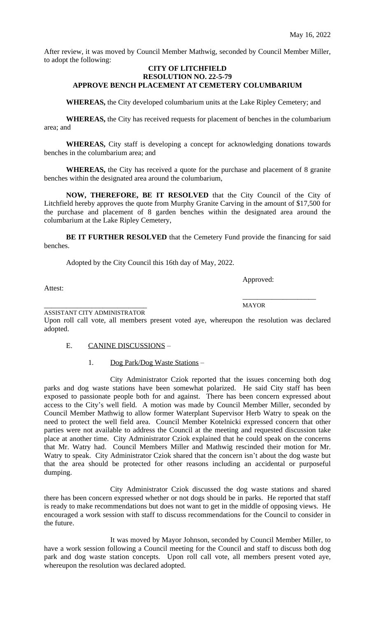After review, it was moved by Council Member Mathwig, seconded by Council Member Miller, to adopt the following:

#### **CITY OF LITCHFIELD RESOLUTION NO. 22-5-79 APPROVE BENCH PLACEMENT AT CEMETERY COLUMBARIUM**

**WHEREAS,** the City developed columbarium units at the Lake Ripley Cemetery; and

**WHEREAS,** the City has received requests for placement of benches in the columbarium area; and

**WHEREAS,** City staff is developing a concept for acknowledging donations towards benches in the columbarium area; and

**WHEREAS,** the City has received a quote for the purchase and placement of 8 granite benches within the designated area around the columbarium,

**NOW, THEREFORE, BE IT RESOLVED** that the City Council of the City of Litchfield hereby approves the quote from Murphy Granite Carving in the amount of \$17,500 for the purchase and placement of 8 garden benches within the designated area around the columbarium at the Lake Ripley Cemetery,

**BE IT FURTHER RESOLVED** that the Cemetery Fund provide the financing for said benches.

Adopted by the City Council this 16th day of May, 2022.

Approved:

Attest:

ASSISTANT CITY ADMINISTRATOR

Upon roll call vote, all members present voted aye, whereupon the resolution was declared adopted.

- E. CANINE DISCUSSIONS
	- 1. Dog Park/Dog Waste Stations –

City Administrator Cziok reported that the issues concerning both dog parks and dog waste stations have been somewhat polarized. He said City staff has been exposed to passionate people both for and against. There has been concern expressed about access to the City's well field. A motion was made by Council Member Miller, seconded by Council Member Mathwig to allow former Waterplant Supervisor Herb Watry to speak on the need to protect the well field area. Council Member Kotelnicki expressed concern that other parties were not available to address the Council at the meeting and requested discussion take place at another time. City Administrator Cziok explained that he could speak on the concerns that Mr. Watry had. Council Members Miller and Mathwig rescinded their motion for Mr. Watry to speak. City Administrator Cziok shared that the concern isn't about the dog waste but that the area should be protected for other reasons including an accidental or purposeful dumping.

City Administrator Cziok discussed the dog waste stations and shared there has been concern expressed whether or not dogs should be in parks. He reported that staff is ready to make recommendations but does not want to get in the middle of opposing views. He encouraged a work session with staff to discuss recommendations for the Council to consider in the future.

It was moved by Mayor Johnson, seconded by Council Member Miller, to have a work session following a Council meeting for the Council and staff to discuss both dog park and dog waste station concepts. Upon roll call vote, all members present voted aye, whereupon the resolution was declared adopted.

\_\_\_\_\_\_\_\_\_\_\_\_\_\_\_\_\_\_\_\_ \_\_\_\_\_\_\_\_\_\_\_\_\_\_\_\_\_\_\_\_\_\_\_\_\_\_\_\_ MAYOR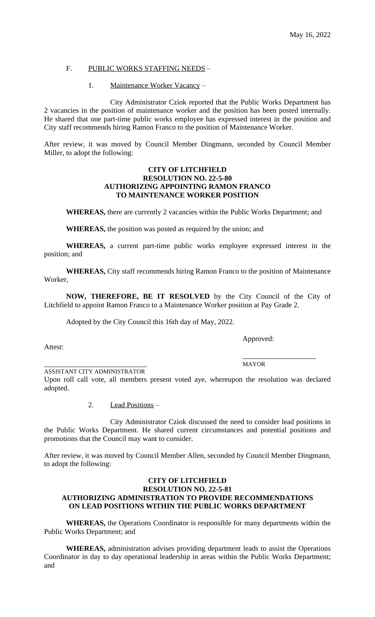#### F. PUBLIC WORKS STAFFING NEEDS –

1. Maintenance Worker Vacancy -

City Administrator Cziok reported that the Public Works Department has 2 vacancies in the position of maintenance worker and the position has been posted internally. He shared that one part-time public works employee has expressed interest in the position and City staff recommends hiring Ramon Franco to the position of Maintenance Worker.

After review, it was moved by Council Member Dingmann, seconded by Council Member Miller, to adopt the following:

#### **CITY OF LITCHFIELD RESOLUTION NO. 22-5-80 AUTHORIZING APPOINTING RAMON FRANCO TO MAINTENANCE WORKER POSITION**

**WHEREAS,** there are currently 2 vacancies within the Public Works Department; and

**WHEREAS,** the position was posted as required by the union; and

**WHEREAS,** a current part-time public works employee expressed interest in the position; and

**WHEREAS,** City staff recommends hiring Ramon Franco to the position of Maintenance Worker,

**NOW, THEREFORE, BE IT RESOLVED** by the City Council of the City of Litchfield to appoint Ramon Franco to a Maintenance Worker position at Pay Grade 2.

Adopted by the City Council this 16th day of May, 2022.

Approved:

\_\_\_\_\_\_\_\_\_\_\_\_\_\_\_\_\_\_\_\_

#### \_\_\_\_\_\_\_\_\_\_\_\_\_\_\_\_\_\_\_\_\_\_\_\_\_\_\_\_ MAYOR ASSISTANT CITY ADMINISTRATOR

Upon roll call vote, all members present voted aye, whereupon the resolution was declared adopted.

2. Lead Positions –

City Administrator Cziok discussed the need to consider lead positions in the Public Works Department. He shared current circumstances and potential positions and promotions that the Council may want to consider.

After review, it was moved by Council Member Allen, seconded by Council Member Dingmann, to adopt the following:

### **CITY OF LITCHFIELD RESOLUTION NO. 22-5-81 AUTHORIZING ADMINISTRATION TO PROVIDE RECOMMENDATIONS ON LEAD POSITIONS WITHIN THE PUBLIC WORKS DEPARTMENT**

**WHEREAS,** the Operations Coordinator is responsible for many departments within the Public Works Department; and

**WHEREAS,** administration advises providing department leads to assist the Operations Coordinator in day to day operational leadership in areas within the Public Works Department; and

Attest: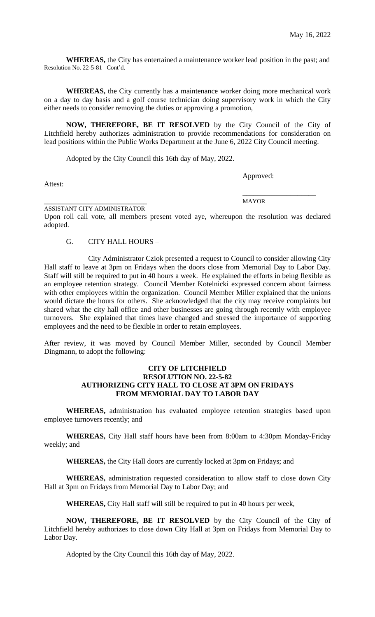**WHEREAS,** the City has entertained a maintenance worker lead position in the past; and Resolution No. 22-5-81– Cont'd.

**WHEREAS,** the City currently has a maintenance worker doing more mechanical work on a day to day basis and a golf course technician doing supervisory work in which the City either needs to consider removing the duties or approving a promotion,

**NOW, THEREFORE, BE IT RESOLVED** by the City Council of the City of Litchfield hereby authorizes administration to provide recommendations for consideration on lead positions within the Public Works Department at the June 6, 2022 City Council meeting.

Adopted by the City Council this 16th day of May, 2022.

Approved:

\_\_\_\_\_\_\_\_\_\_\_\_\_\_\_\_\_\_\_\_

Attest:

\_\_\_\_\_\_\_\_\_\_\_\_\_\_\_\_\_\_\_\_\_\_\_\_\_\_\_\_ MAYOR

ASSISTANT CITY ADMINISTRATOR

Upon roll call vote, all members present voted aye, whereupon the resolution was declared adopted.

#### G. CITY HALL HOURS –

City Administrator Cziok presented a request to Council to consider allowing City Hall staff to leave at 3pm on Fridays when the doors close from Memorial Day to Labor Day. Staff will still be required to put in 40 hours a week. He explained the efforts in being flexible as an employee retention strategy. Council Member Kotelnicki expressed concern about fairness with other employees within the organization. Council Member Miller explained that the unions would dictate the hours for others. She acknowledged that the city may receive complaints but shared what the city hall office and other businesses are going through recently with employee turnovers. She explained that times have changed and stressed the importance of supporting employees and the need to be flexible in order to retain employees.

After review, it was moved by Council Member Miller, seconded by Council Member Dingmann, to adopt the following:

#### **CITY OF LITCHFIELD RESOLUTION NO. 22-5-82 AUTHORIZING CITY HALL TO CLOSE AT 3PM ON FRIDAYS FROM MEMORIAL DAY TO LABOR DAY**

**WHEREAS,** administration has evaluated employee retention strategies based upon employee turnovers recently; and

**WHEREAS,** City Hall staff hours have been from 8:00am to 4:30pm Monday-Friday weekly; and

**WHEREAS,** the City Hall doors are currently locked at 3pm on Fridays; and

**WHEREAS,** administration requested consideration to allow staff to close down City Hall at 3pm on Fridays from Memorial Day to Labor Day; and

**WHEREAS,** City Hall staff will still be required to put in 40 hours per week,

**NOW, THEREFORE, BE IT RESOLVED** by the City Council of the City of Litchfield hereby authorizes to close down City Hall at 3pm on Fridays from Memorial Day to Labor Day.

Adopted by the City Council this 16th day of May, 2022.